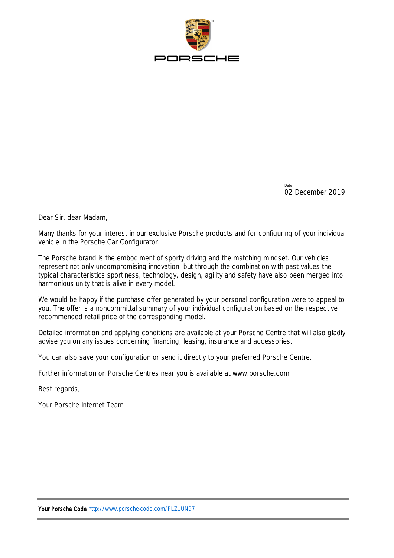

Date 02 December 2019

Dear Sir, dear Madam,

Many thanks for your interest in our exclusive Porsche products and for configuring of your individual vehicle in the Porsche Car Configurator.

The Porsche brand is the embodiment of sporty driving and the matching mindset. Our vehicles represent not only uncompromising innovation but through the combination with past values the typical characteristics sportiness, technology, design, agility and safety have also been merged into harmonious unity that is alive in every model.

We would be happy if the purchase offer generated by your personal configuration were to appeal to you. The offer is a noncommittal summary of your individual configuration based on the respective recommended retail price of the corresponding model.

Detailed information and applying conditions are available at your Porsche Centre that will also gladly advise you on any issues concerning financing, leasing, insurance and accessories.

You can also save your configuration or send it directly to your preferred Porsche Centre.

Further information on Porsche Centres near you is available at www.porsche.com

Best regards,

Your Porsche Internet Team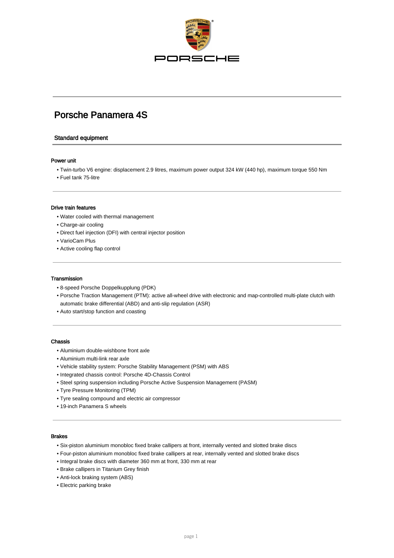

# Porsche Panamera 4S

# Standard equipment

# Power unit

- Twin-turbo V6 engine: displacement 2.9 litres, maximum power output 324 kW (440 hp), maximum torque 550 Nm
- Fuel tank 75-litre

# Drive train features

- Water cooled with thermal management
- Charge-air cooling
- Direct fuel injection (DFI) with central injector position
- VarioCam Plus
- Active cooling flap control

### **Transmission**

- 8-speed Porsche Doppelkupplung (PDK)
- Porsche Traction Management (PTM): active all-wheel drive with electronic and map-controlled multi-plate clutch with automatic brake differential (ABD) and anti-slip regulation (ASR)
- Auto start/stop function and coasting

#### Chassis

- Aluminium double-wishbone front axle
- Aluminium multi-link rear axle
- Vehicle stability system: Porsche Stability Management (PSM) with ABS
- Integrated chassis control: Porsche 4D-Chassis Control
- Steel spring suspension including Porsche Active Suspension Management (PASM)
- Tyre Pressure Monitoring (TPM)
- Tyre sealing compound and electric air compressor
- 19-inch Panamera S wheels

#### Brakes

- Six-piston aluminium monobloc fixed brake callipers at front, internally vented and slotted brake discs
- Four-piston aluminium monobloc fixed brake callipers at rear, internally vented and slotted brake discs
- Integral brake discs with diameter 360 mm at front, 330 mm at rear
- Brake callipers in Titanium Grey finish
- Anti-lock braking system (ABS)
- Electric parking brake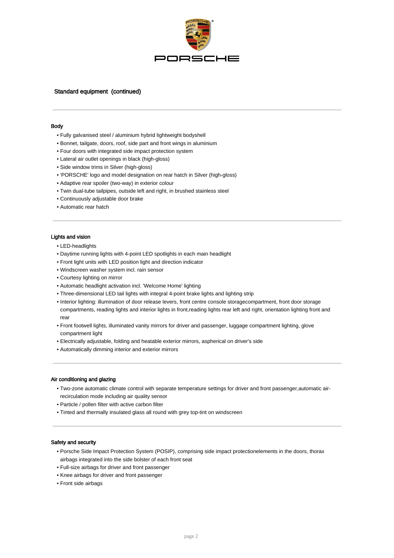

# Standard equipment (continued)

## **Body**

- Fully galvanised steel / aluminium hybrid lightweight bodyshell
- Bonnet, tailgate, doors, roof, side part and front wings in aluminium
- Four doors with integrated side impact protection system
- Lateral air outlet openings in black (high-gloss)
- Side window trims in Silver (high-gloss)
- 'PORSCHE' logo and model designation on rear hatch in Silver (high-gloss)
- Adaptive rear spoiler (two-way) in exterior colour
- Twin dual-tube tailpipes, outside left and right, in brushed stainless steel
- Continuously adjustable door brake
- Automatic rear hatch

# Lights and vision

- LED-headlights
- Daytime running lights with 4-point LED spotlights in each main headlight
- Front light units with LED position light and direction indicator
- Windscreen washer system incl. rain sensor
- Courtesy lighting on mirror
- Automatic headlight activation incl. 'Welcome Home' lighting
- Three-dimensional LED tail lights with integral 4-point brake lights and lighting strip
- Interior lighting: illumination of door release levers, front centre console storagecompartment, front door storage compartments, reading lights and interior lights in front,reading lights rear left and right, orientation lighting front and rear
- Front footwell lights, illuminated vanity mirrors for driver and passenger, luggage compartment lighting, glove compartment light
- Electrically adjustable, folding and heatable exterior mirrors, aspherical on driver's side
- Automatically dimming interior and exterior mirrors

#### Air conditioning and glazing

- Two-zone automatic climate control with separate temperature settings for driver and front passenger,automatic airrecirculation mode including air quality sensor
- Particle / pollen filter with active carbon filter
- Tinted and thermally insulated glass all round with grey top-tint on windscreen

#### Safety and security

- Porsche Side Impact Protection System (POSIP), comprising side impact protectionelements in the doors, thorax airbags integrated into the side bolster of each front seat
- Full-size airbags for driver and front passenger
- Knee airbags for driver and front passenger
- Front side airbags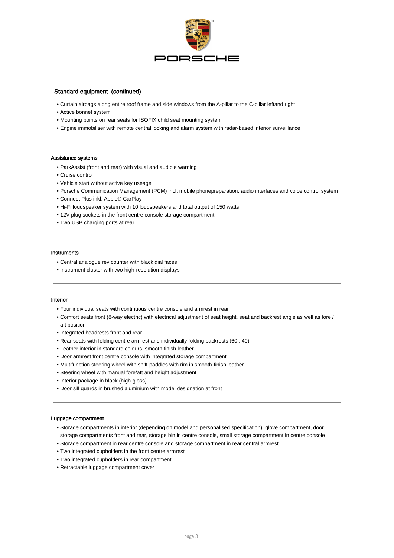

# Standard equipment (continued)

- Curtain airbags along entire roof frame and side windows from the A-pillar to the C-pillar leftand right
- Active bonnet system
- Mounting points on rear seats for ISOFIX child seat mounting system
- Engine immobiliser with remote central locking and alarm system with radar-based interior surveillance

#### Assistance systems

- ParkAssist (front and rear) with visual and audible warning
- Cruise control
- Vehicle start without active key useage
- Porsche Communication Management (PCM) incl. mobile phonepreparation, audio interfaces and voice control system
- Connect Plus inkl. Apple® CarPlay
- Hi-Fi loudspeaker system with 10 loudspeakers and total output of 150 watts
- 12V plug sockets in the front centre console storage compartment
- Two USB charging ports at rear

#### **Instruments**

- Central analogue rev counter with black dial faces
- Instrument cluster with two high-resolution displays

#### Interior

- Four individual seats with continuous centre console and armrest in rear
- Comfort seats front (8-way electric) with electrical adjustment of seat height, seat and backrest angle as well as fore / aft position
- Integrated headrests front and rear
- Rear seats with folding centre armrest and individually folding backrests (60 : 40)
- Leather interior in standard colours, smooth finish leather
- Door armrest front centre console with integrated storage compartment
- Multifunction steering wheel with shift-paddles with rim in smooth-finish leather
- Steering wheel with manual fore/aft and height adjustment
- Interior package in black (high-gloss)
- Door sill guards in brushed aluminium with model designation at front

# Luggage compartment

- Storage compartments in interior (depending on model and personalised specification): glove compartment, door storage compartments front and rear, storage bin in centre console, small storage compartment in centre console
- Storage compartment in rear centre console and storage compartment in rear central armrest
- Two integrated cupholders in the front centre armrest
- Two integrated cupholders in rear compartment
- Retractable luggage compartment cover